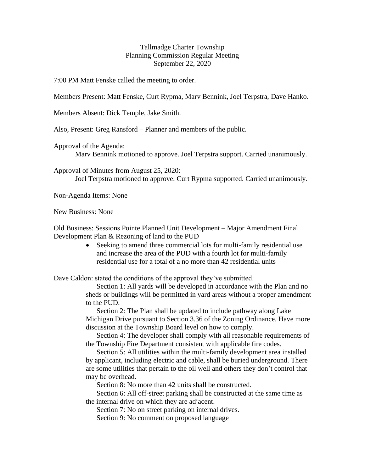## Tallmadge Charter Township Planning Commission Regular Meeting September 22, 2020

7:00 PM Matt Fenske called the meeting to order.

Members Present: Matt Fenske, Curt Rypma, Marv Bennink, Joel Terpstra, Dave Hanko.

Members Absent: Dick Temple, Jake Smith.

Also, Present: Greg Ransford – Planner and members of the public.

Approval of the Agenda:

Marv Bennink motioned to approve. Joel Terpstra support. Carried unanimously.

Approval of Minutes from August 25, 2020: Joel Terpstra motioned to approve. Curt Rypma supported. Carried unanimously.

Non-Agenda Items: None

New Business: None

Old Business: Sessions Pointe Planned Unit Development – Major Amendment Final Development Plan & Rezoning of land to the PUD

> Seeking to amend three commercial lots for multi-family residential use and increase the area of the PUD with a fourth lot for multi-family residential use for a total of a no more than 42 residential units

Dave Caldon: stated the conditions of the approval they've submitted.

Section 1: All yards will be developed in accordance with the Plan and no sheds or buildings will be permitted in yard areas without a proper amendment to the PUD.

Section 2: The Plan shall be updated to include pathway along Lake Michigan Drive pursuant to Section 3.36 of the Zoning Ordinance. Have more discussion at the Township Board level on how to comply.

Section 4: The developer shall comply with all reasonable requirements of the Township Fire Department consistent with applicable fire codes.

Section 5: All utilities within the multi-family development area installed by applicant, including electric and cable, shall be buried underground. There are some utilities that pertain to the oil well and others they don't control that may be overhead.

Section 8: No more than 42 units shall be constructed.

Section 6: All off-street parking shall be constructed at the same time as the internal drive on which they are adjacent.

Section 7: No on street parking on internal drives.

Section 9: No comment on proposed language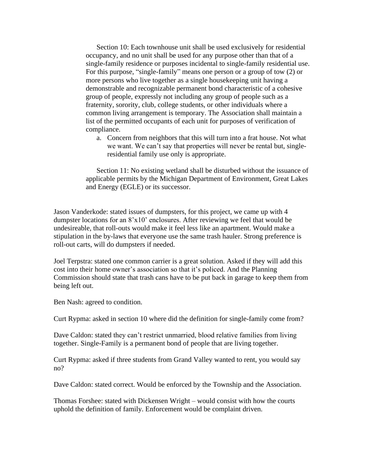Section 10: Each townhouse unit shall be used exclusively for residential occupancy, and no unit shall be used for any purpose other than that of a single-family residence or purposes incidental to single-family residential use. For this purpose, "single-family" means one person or a group of tow (2) or more persons who live together as a single housekeeping unit having a demonstrable and recognizable permanent bond characteristic of a cohesive group of people, expressly not including any group of people such as a fraternity, sorority, club, college students, or other individuals where a common living arrangement is temporary. The Association shall maintain a list of the permitted occupants of each unit for purposes of verification of compliance.

a. Concern from neighbors that this will turn into a frat house. Not what we want. We can't say that properties will never be rental but, singleresidential family use only is appropriate.

Section 11: No existing wetland shall be disturbed without the issuance of applicable permits by the Michigan Department of Environment, Great Lakes and Energy (EGLE) or its successor.

Jason Vanderkode: stated issues of dumpsters, for this project, we came up with 4 dumpster locations for an 8'x10' enclosures. After reviewing we feel that would be undesireable, that roll-outs would make it feel less like an apartment. Would make a stipulation in the by-laws that everyone use the same trash hauler. Strong preference is roll-out carts, will do dumpsters if needed.

Joel Terpstra: stated one common carrier is a great solution. Asked if they will add this cost into their home owner's association so that it's policed. And the Planning Commission should state that trash cans have to be put back in garage to keep them from being left out.

Ben Nash: agreed to condition.

Curt Rypma: asked in section 10 where did the definition for single-family come from?

Dave Caldon: stated they can't restrict unmarried, blood relative families from living together. Single-Family is a permanent bond of people that are living together.

Curt Rypma: asked if three students from Grand Valley wanted to rent, you would say no?

Dave Caldon: stated correct. Would be enforced by the Township and the Association.

Thomas Forshee: stated with Dickensen Wright – would consist with how the courts uphold the definition of family. Enforcement would be complaint driven.